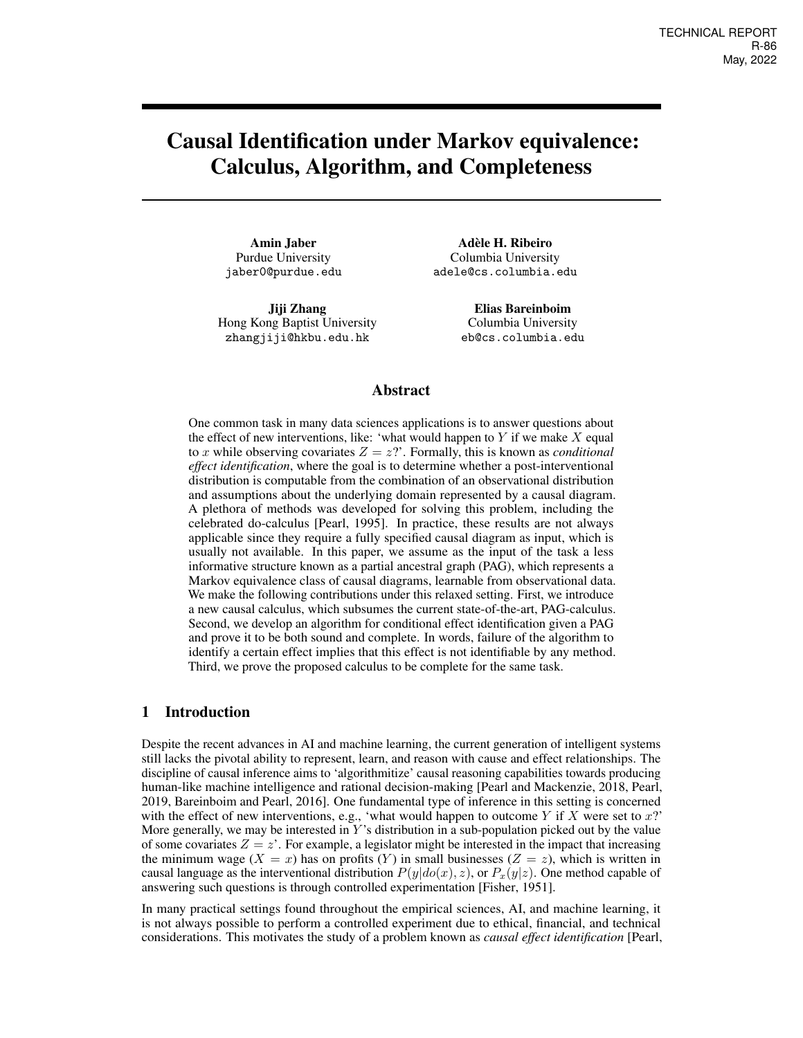# Causal Identification under Markov equivalence: Calculus, Algorithm, and Completeness

Amin Jaber Purdue University jaber0@purdue.edu

Jiji Zhang Hong Kong Baptist University zhangjiji@hkbu.edu.hk

Adèle H. Ribeiro Columbia University adele@cs.columbia.edu

> Elias Bareinboim Columbia University eb@cs.columbia.edu

## Abstract

One common task in many data sciences applications is to answer questions about the effect of new interventions, like: 'what would happen to  $Y$  if we make  $X$  equal to x while observing covariates  $Z = z$ ?'. Formally, this is known as *conditional effect identification*, where the goal is to determine whether a post-interventional distribution is computable from the combination of an observational distribution and assumptions about the underlying domain represented by a causal diagram. A plethora of methods was developed for solving this problem, including the celebrated do-calculus [\[Pearl, 1995\]](#page-9-0). In practice, these results are not always applicable since they require a fully specified causal diagram as input, which is usually not available. In this paper, we assume as the input of the task a less informative structure known as a partial ancestral graph (PAG), which represents a Markov equivalence class of causal diagrams, learnable from observational data. We make the following contributions under this relaxed setting. First, we introduce a new causal calculus, which subsumes the current state-of-the-art, PAG-calculus. Second, we develop an algorithm for conditional effect identification given a PAG and prove it to be both sound and complete. In words, failure of the algorithm to identify a certain effect implies that this effect is not identifiable by any method. Third, we prove the proposed calculus to be complete for the same task.

# 1 Introduction

Despite the recent advances in AI and machine learning, the current generation of intelligent systems still lacks the pivotal ability to represent, learn, and reason with cause and effect relationships. The discipline of causal inference aims to 'algorithmitize' causal reasoning capabilities towards producing human-like machine intelligence and rational decision-making [\[Pearl and Mackenzie, 2018,](#page-9-1) [Pearl,](#page-9-2) [2019,](#page-9-2) [Bareinboim and Pearl, 2016\]](#page-9-3). One fundamental type of inference in this setting is concerned with the effect of new interventions, e.g., 'what would happen to outcome  $Y$  if  $X$  were set to  $x$ ?' More generally, we may be interested in  $Y$ 's distribution in a sub-population picked out by the value of some covariates  $Z = z'$ . For example, a legislator might be interested in the impact that increasing the minimum wage  $(X = x)$  has on profits  $(Y)$  in small businesses  $(Z = z)$ , which is written in causal language as the interventional distribution  $P(y|do(x), z)$ , or  $P_x(y|z)$ . One method capable of answering such questions is through controlled experimentation [\[Fisher, 1951\]](#page-9-4).

In many practical settings found throughout the empirical sciences, AI, and machine learning, it is not always possible to perform a controlled experiment due to ethical, financial, and technical considerations. This motivates the study of a problem known as *causal effect identification* [\[Pearl,](#page-9-5)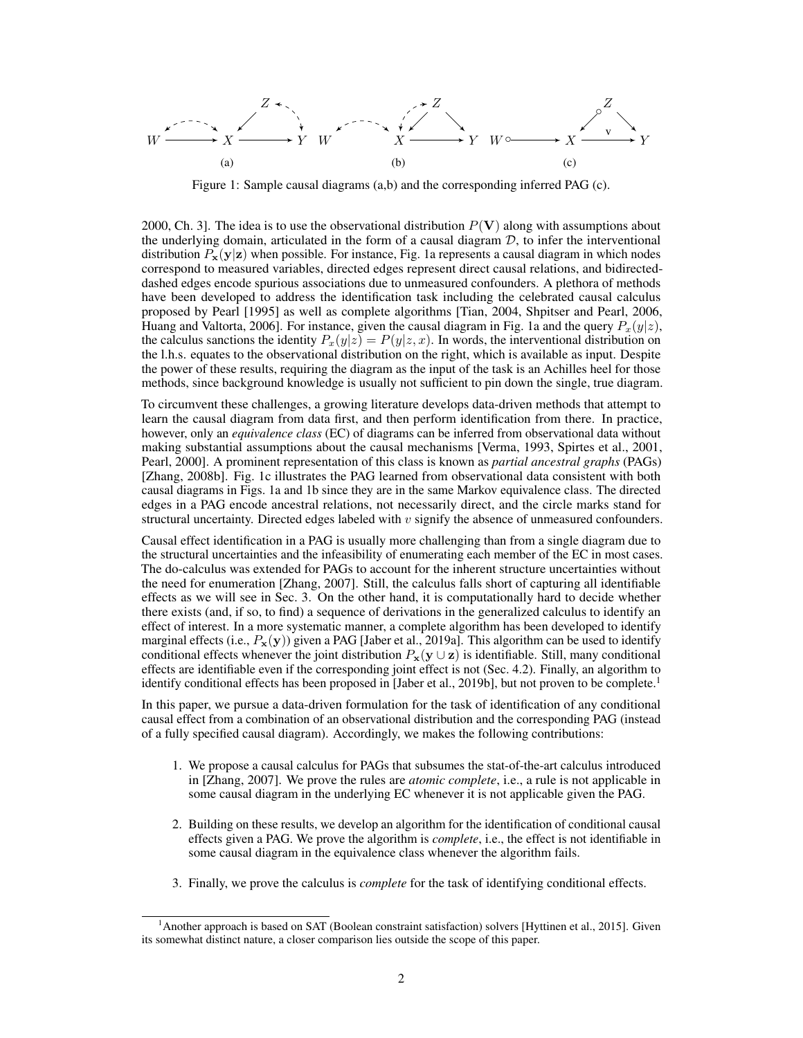<span id="page-1-0"></span>W X Y Z (a) W X Y Z (b) W X Y Z ◦ v ◦ (c)

Figure 1: Sample causal diagrams [\(a,b\)](#page-1-0) and the corresponding inferred PAG [\(c\)](#page-1-0).

[2000,](#page-9-5) Ch. 3]. The idea is to use the observational distribution  $P(V)$  along with assumptions about the underlying domain, articulated in the form of a causal diagram  $D$ , to infer the interventional distribution  $P_x(y|z)$  when possible. For instance, Fig. [1a](#page-1-0) represents a causal diagram in which nodes correspond to measured variables, directed edges represent direct causal relations, and bidirecteddashed edges encode spurious associations due to unmeasured confounders. A plethora of methods have been developed to address the identification task including the celebrated causal calculus proposed by [Pearl](#page-9-0) [\[1995\]](#page-9-0) as well as complete algorithms [\[Tian, 2004,](#page-9-6) [Shpitser and Pearl, 2006,](#page-9-7) [Huang and Valtorta, 2006\]](#page-9-8). For instance, given the causal diagram in Fig. [1a](#page-1-0) and the query  $P_x(y|z)$ , the calculus sanctions the identity  $P_x(y|z) = P(y|z, x)$ . In words, the interventional distribution on the l.h.s. equates to the observational distribution on the right, which is available as input. Despite the power of these results, requiring the diagram as the input of the task is an Achilles heel for those methods, since background knowledge is usually not sufficient to pin down the single, true diagram.

To circumvent these challenges, a growing literature develops data-driven methods that attempt to learn the causal diagram from data first, and then perform identification from there. In practice, however, only an *equivalence class* (EC) of diagrams can be inferred from observational data without making substantial assumptions about the causal mechanisms [\[Verma, 1993,](#page-9-9) [Spirtes et al., 2001,](#page-9-10) [Pearl, 2000\]](#page-9-5). A prominent representation of this class is known as *partial ancestral graphs* (PAGs) [\[Zhang, 2008b\]](#page-9-11). Fig. [1c](#page-1-0) illustrates the PAG learned from observational data consistent with both causal diagrams in Figs. [1a](#page-1-0) and [1b](#page-1-0) since they are in the same Markov equivalence class. The directed edges in a PAG encode ancestral relations, not necessarily direct, and the circle marks stand for structural uncertainty. Directed edges labeled with  $v$  signify the absence of unmeasured confounders.

Causal effect identification in a PAG is usually more challenging than from a single diagram due to the structural uncertainties and the infeasibility of enumerating each member of the EC in most cases. The do-calculus was extended for PAGs to account for the inherent structure uncertainties without the need for enumeration [\[Zhang, 2007\]](#page-9-12). Still, the calculus falls short of capturing all identifiable effects as we will see in Sec. [3.](#page-3-0) On the other hand, it is computationally hard to decide whether there exists (and, if so, to find) a sequence of derivations in the generalized calculus to identify an effect of interest. In a more systematic manner, a complete algorithm has been developed to identify marginal effects (i.e.,  $P_x(y)$ ) given a PAG [\[Jaber et al., 2019a\]](#page-9-13). This algorithm can be used to identify conditional effects whenever the joint distribution  $P_x(y \cup z)$  is identifiable. Still, many conditional effects are identifiable even if the corresponding joint effect is not (Sec. [4.2\)](#page-6-0). Finally, an algorithm to identify conditional effects has been proposed in [\[Jaber et al., 2019b\]](#page-9-14), but not proven to be complete.<sup>[1](#page-1-1)</sup>

In this paper, we pursue a data-driven formulation for the task of identification of any conditional causal effect from a combination of an observational distribution and the corresponding PAG (instead of a fully specified causal diagram). Accordingly, we makes the following contributions:

- 1. We propose a causal calculus for PAGs that subsumes the stat-of-the-art calculus introduced in [\[Zhang, 2007\]](#page-9-12). We prove the rules are *atomic complete*, i.e., a rule is not applicable in some causal diagram in the underlying EC whenever it is not applicable given the PAG.
- 2. Building on these results, we develop an algorithm for the identification of conditional causal effects given a PAG. We prove the algorithm is *complete*, i.e., the effect is not identifiable in some causal diagram in the equivalence class whenever the algorithm fails.
- 3. Finally, we prove the calculus is *complete* for the task of identifying conditional effects.

<span id="page-1-1"></span><sup>1</sup>Another approach is based on SAT (Boolean constraint satisfaction) solvers [\[Hyttinen et al., 2015\]](#page-9-15). Given its somewhat distinct nature, a closer comparison lies outside the scope of this paper.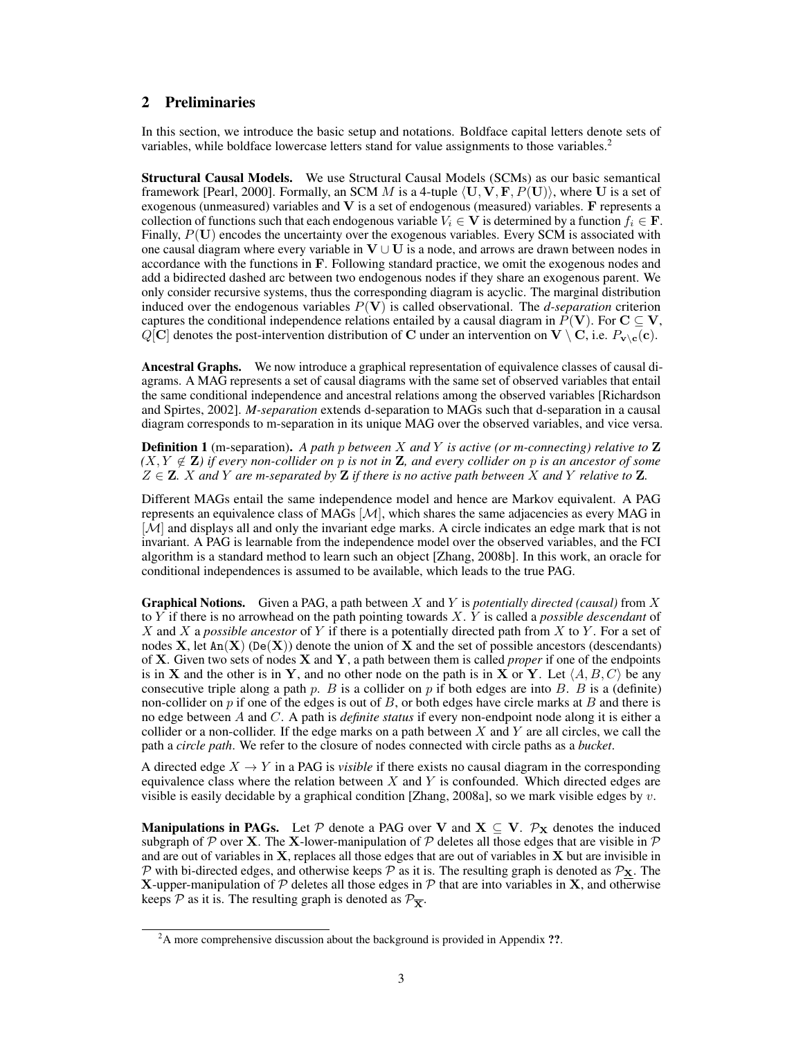# 2 Preliminaries

In this section, we introduce the basic setup and notations. Boldface capital letters denote sets of variables, while boldface lowercase letters stand for value assignments to those variables.<sup>[2](#page-2-0)</sup>

Structural Causal Models. We use Structural Causal Models (SCMs) as our basic semantical framework [\[Pearl, 2000\]](#page-9-5). Formally, an SCM M is a 4-tuple  $\langle U, V, F, P(U) \rangle$ , where U is a set of exogenous (unmeasured) variables and V is a set of endogenous (measured) variables. F represents a collection of functions such that each endogenous variable  $V_i \in V$  is determined by a function  $f_i \in \mathbf{F}$ . Finally,  $P(U)$  encodes the uncertainty over the exogenous variables. Every SCM is associated with one causal diagram where every variable in  $V \cup U$  is a node, and arrows are drawn between nodes in accordance with the functions in F. Following standard practice, we omit the exogenous nodes and add a bidirected dashed arc between two endogenous nodes if they share an exogenous parent. We only consider recursive systems, thus the corresponding diagram is acyclic. The marginal distribution induced over the endogenous variables  $P(V)$  is called observational. The *d-separation* criterion captures the conditional independence relations entailed by a causal diagram in  $P(V)$ . For  $C \subseteq V$ ,  $Q[\mathbf{C}]$  denotes the post-intervention distribution of C under an intervention on  $\mathbf{V} \setminus \mathbf{C}$ , i.e.  $P_{\mathbf{v} \setminus \mathbf{c}}(\mathbf{c})$ .

Ancestral Graphs. We now introduce a graphical representation of equivalence classes of causal diagrams. A MAG represents a set of causal diagrams with the same set of observed variables that entail the same conditional independence and ancestral relations among the observed variables [\[Richardson](#page-9-16) [and Spirtes, 2002\]](#page-9-16). *M-separation* extends d-separation to MAGs such that d-separation in a causal diagram corresponds to m-separation in its unique MAG over the observed variables, and vice versa.

<span id="page-2-1"></span>Definition 1 (m-separation). *A path* p *between* X *and* Y *is active (or m-connecting) relative to* Z  $(X, Y \notin \mathbf{Z})$  *if every non-collider on* p *is not in*  $\mathbf{Z}$ *, and every collider on* p *is an ancestor of some*  $Z \in \mathbf{Z}$ . X and Y are m-separated by  $\mathbf{Z}$  *if there is no active path between* X and Y *relative to*  $\mathbf{Z}$ *.* 

Different MAGs entail the same independence model and hence are Markov equivalent. A PAG represents an equivalence class of MAGs  $[\mathcal{M}]$ , which shares the same adjacencies as every MAG in [M] and displays all and only the invariant edge marks. A circle indicates an edge mark that is not invariant. A PAG is learnable from the independence model over the observed variables, and the FCI algorithm is a standard method to learn such an object [\[Zhang, 2008b\]](#page-9-11). In this work, an oracle for conditional independences is assumed to be available, which leads to the true PAG.

Graphical Notions. Given a PAG, a path between X and Y is *potentially directed (causal)* from X to Y if there is no arrowhead on the path pointing towards X. Y is called a *possible descendant* of X and X a *possible ancestor* of Y if there is a potentially directed path from X to Y . For a set of nodes  $X$ , let  $An(X)$  (De $(X)$ ) denote the union of X and the set of possible ancestors (descendants) of X. Given two sets of nodes X and Y, a path between them is called *proper* if one of the endpoints is in X and the other is in Y, and no other node on the path is in X or Y. Let  $\langle A, B, C \rangle$  be any consecutive triple along a path p. B is a collider on p if both edges are into B. B is a (definite) non-collider on  $p$  if one of the edges is out of  $B$ , or both edges have circle marks at  $B$  and there is no edge between A and C. A path is *definite status* if every non-endpoint node along it is either a collider or a non-collider. If the edge marks on a path between  $X$  and  $Y$  are all circles, we call the path a *circle path*. We refer to the closure of nodes connected with circle paths as a *bucket*.

A directed edge  $X \to Y$  in a PAG is *visible* if there exists no causal diagram in the corresponding equivalence class where the relation between  $X$  and  $Y$  is confounded. Which directed edges are visible is easily decidable by a graphical condition [\[Zhang, 2008a\]](#page-9-17), so we mark visible edges by  $v$ .

**Manipulations in PAGs.** Let P denote a PAG over V and  $X \subseteq V$ .  $\mathcal{P}_X$  denotes the induced subgraph of  $P$  over X. The X-lower-manipulation of  $P$  deletes all those edges that are visible in  $P$ and are out of variables in  $X$ , replaces all those edges that are out of variables in  $X$  but are invisible in P with bi-directed edges, and otherwise keeps P as it is. The resulting graph is denoted as  $\mathcal{P}_X$ . The X-upper-manipulation of  $P$  deletes all those edges in  $P$  that are into variables in X, and otherwise keeps  $P$  as it is. The resulting graph is denoted as  $P_{\overline{X}}$ .

<span id="page-2-0"></span> $2A$  more comprehensive discussion about the background is provided in Appendix ??.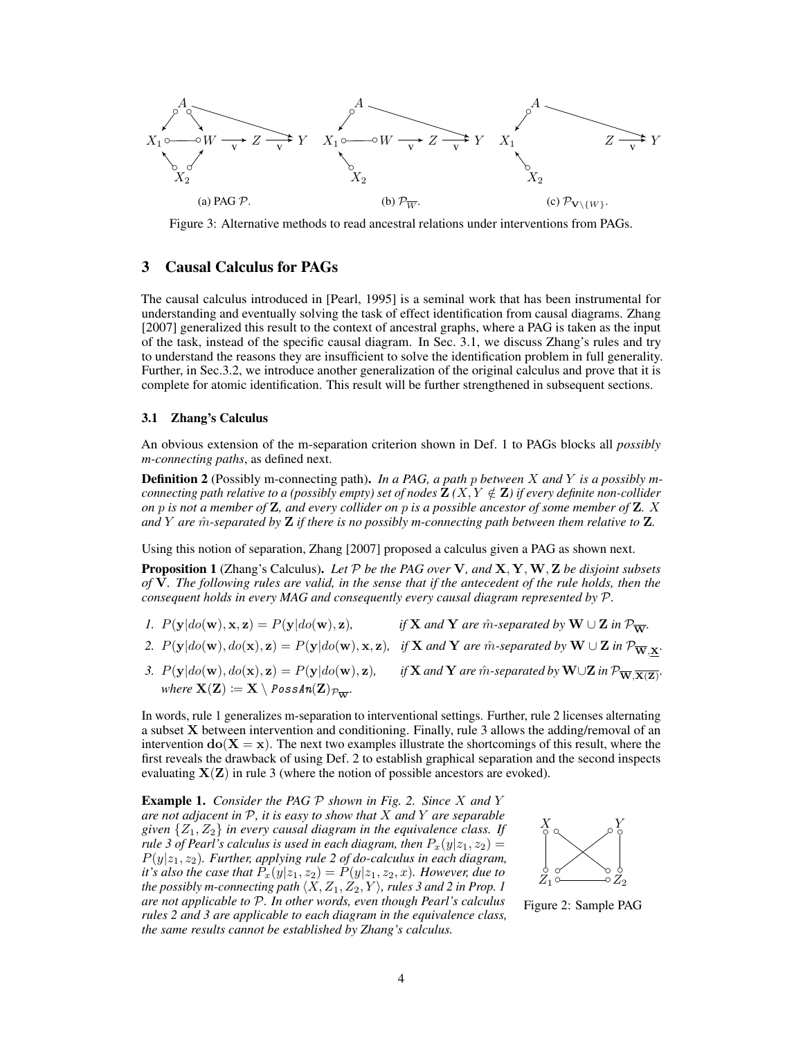<span id="page-3-5"></span>

Figure 3: Alternative methods to read ancestral relations under interventions from PAGs.

# <span id="page-3-0"></span>3 Causal Calculus for PAGs

The causal calculus introduced in [\[Pearl, 1995\]](#page-9-0) is a seminal work that has been instrumental for understanding and eventually solving the task of effect identification from causal diagrams. [Zhang](#page-9-12) [\[2007\]](#page-9-12) generalized this result to the context of ancestral graphs, where a PAG is taken as the input of the task, instead of the specific causal diagram. In Sec. [3.1,](#page-3-1) we discuss Zhang's rules and try to understand the reasons they are insufficient to solve the identification problem in full generality. Further, in Sec[.3.2,](#page-4-0) we introduce another generalization of the original calculus and prove that it is complete for atomic identification. This result will be further strengthened in subsequent sections.

#### <span id="page-3-1"></span>3.1 Zhang's Calculus

An obvious extension of the m-separation criterion shown in Def. [1](#page-2-1) to PAGs blocks all *possibly m-connecting paths*, as defined next.

<span id="page-3-2"></span>Definition 2 (Possibly m-connecting path). *In a PAG, a path* p *between* X *and* Y *is a possibly mconnecting path relative to a (possibly empty) set of nodes*  $\mathbf{Z}(X, Y \notin \mathbf{Z})$  *if every definite non-collider on* p *is not a member of* Z*, and every collider on* p *is a possible ancestor of some member of* Z*.* X *and* Y *are* mˆ *-separated by* Z *if there is no possibly m-connecting path between them relative to* Z*.*

Using this notion of separation, [Zhang](#page-9-12) [\[2007\]](#page-9-12) proposed a calculus given a PAG as shown next.

<span id="page-3-4"></span>Proposition 1 (Zhang's Calculus). *Let* P *be the PAG over* V*, and* X, Y,W, Z *be disjoint subsets of* V*. The following rules are valid, in the sense that if the antecedent of the rule holds, then the consequent holds in every MAG and consequently every causal diagram represented by* P*.*

- *1.*  $P(y|do(w), x, z) = P(y|do(w), z)$ , if **X** and **Y** are m̂-separated by **W** ∪ **Z** in  $\mathcal{P}_{\overline{W}}$ .
- 2.  $P(y|do(w), do(x), z) = P(y|do(w), x, z)$ , if X and Y are m̂-separated by W ∪ Z in  $\mathcal{P}_{\overline{W}, X}$ .
- *3.*  $P(y|do(w), do(x), z) = P(y|do(w), z)$ , *if* **X** and **Y** are m̂-separated by **W**∪**Z** in  $\mathcal{P}_{\overline{W},\overline{X}(\overline{Z})}$ . *where*  $X(Z) := X \setminus \text{PossAn}(Z)_{\mathcal{P}_{\overline{X}}}.$

In words, rule 1 generalizes m-separation to interventional settings. Further, rule 2 licenses alternating a subset X between intervention and conditioning. Finally, rule 3 allows the adding/removal of an intervention  $do(X = x)$ . The next two examples illustrate the shortcomings of this result, where the first reveals the drawback of using Def. [2](#page-3-2) to establish graphical separation and the second inspects evaluating  $X(Z)$  in rule 3 (where the notion of possible ancestors are evoked).

<span id="page-3-6"></span>Example 1. *Consider the PAG* P *shown in Fig. [2.](#page-3-3) Since* X *and* Y *are not adjacent in* P*, it is easy to show that* X *and* Y *are separable given*  $\{Z_1, Z_2\}$  *in every causal diagram in the equivalence class. If rule 3 of Pearl's calculus is used in each diagram, then*  $P_x(y|z_1, z_2) =$  $P(y|z_1, z_2)$ *. Further, applying rule 2 of do-calculus in each diagram, it's also the case that*  $P_x(y|z_1, z_2) = P(y|z_1, z_2, x)$ *. However, due to the possibly m-connecting path*  $\langle X, Z_1, Z_2, Y \rangle$ *, rules 3 and 2 in Prop. [1](#page-3-4) are not applicable to* P*. In other words, even though Pearl's calculus rules 2 and 3 are applicable to each diagram in the equivalence class, the same results cannot be established by Zhang's calculus.*

<span id="page-3-3"></span>

Figure 2: Sample PAG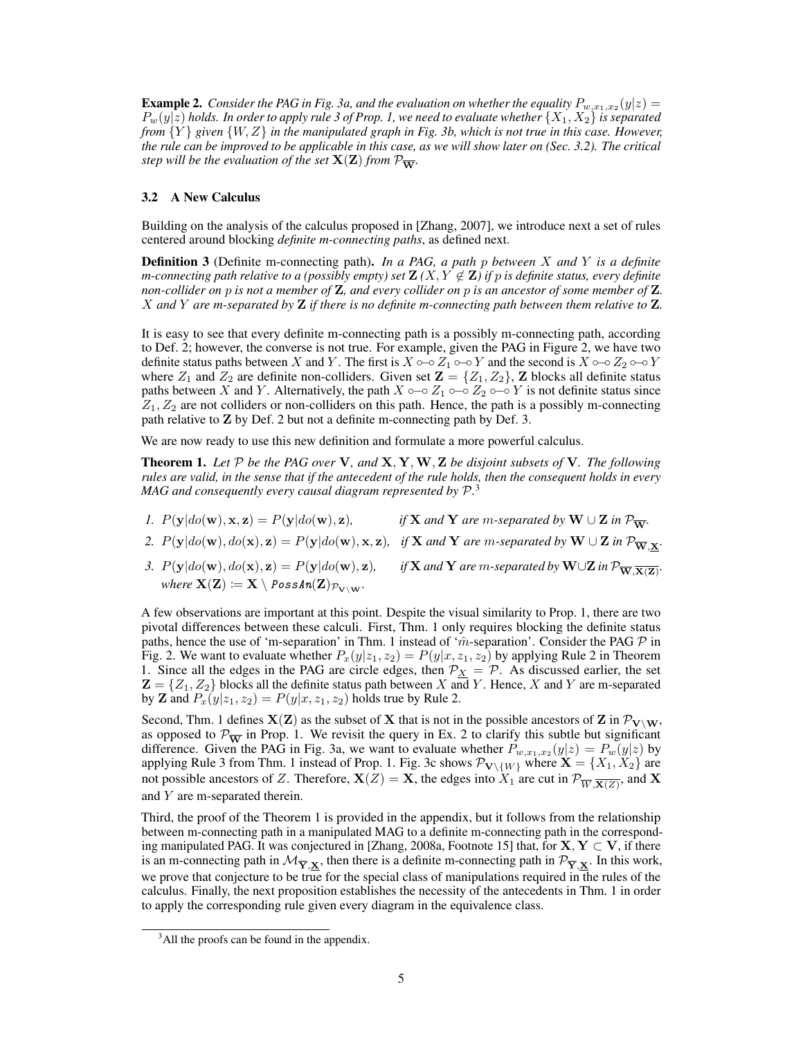<span id="page-4-4"></span>**Example 2.** Consider the PAG in Fig. [3a,](#page-3-5) and the evaluation on whether the equality  $P_{w,x_1,x_2}(y|z)$  =  $P_w(y|z)$  holds. In order to apply rule 3 of Prop. [1,](#page-3-4) we need to evaluate whether  $\{X_1, X_2\}$  is separated *from* {Y } *given* {W, Z} *in the manipulated graph in Fig. [3b,](#page-3-5) which is not true in this case. However, the rule can be improved to be applicable in this case, as we will show later on (Sec. [3.2\)](#page-4-0). The critical step will be the evaluation of the set*  $X(Z)$  *from*  $\mathcal{P}_{\overline{W}}$ *.* 

#### <span id="page-4-0"></span>3.2 A New Calculus

Building on the analysis of the calculus proposed in [\[Zhang, 2007\]](#page-9-12), we introduce next a set of rules centered around blocking *definite m-connecting paths*, as defined next.

<span id="page-4-1"></span>Definition 3 (Definite m-connecting path). *In a PAG, a path* p *between* X *and* Y *is a definite m*-connecting path relative to a (possibly empty) set  $\mathbf{Z}(X, Y \notin \mathbf{Z})$  if p is definite status, every definite *non-collider on* p *is not a member of* Z*, and every collider on* p *is an ancestor of some member of* Z*.* X *and* Y *are m-separated by* Z *if there is no definite m-connecting path between them relative to* Z*.*

It is easy to see that every definite m-connecting path is a possibly m-connecting path, according to Def. [2;](#page-3-2) however, the converse is not true. For example, given the PAG in Figure [2,](#page-3-3) we have two definite status paths between X and Y. The first is  $X \circ \neg \circ Z_1 \circ \neg \circ Y$  and the second is  $X \circ \neg \circ Z_2 \circ \neg \circ Y$ where  $Z_1$  and  $Z_2$  are definite non-colliders. Given set  $\mathbf{Z} = \{Z_1, Z_2\}$ ,  $\mathbf{Z}$  blocks all definite status paths between X and Y. Alternatively, the path  $X \circ \sim \circ Z_1 \circ \check{\circ} Z_2 \circ \check{\circ} Y$  is not definite status since  $Z_1, Z_2$  are not colliders or non-colliders on this path. Hence, the path is a possibly m-connecting path relative to Z by Def. [2](#page-3-2) but not a definite m-connecting path by Def. [3.](#page-4-1)

We are now ready to use this new definition and formulate a more powerful calculus.

<span id="page-4-3"></span>Theorem 1. *Let* P *be the PAG over* V*, and* X, Y,W, Z *be disjoint subsets of* V*. The following rules are valid, in the sense that if the antecedent of the rule holds, then the consequent holds in every MAG and consequently every causal diagram represented by* P*.* [3](#page-4-2)

- *1.*  $P(\mathbf{y}|do(\mathbf{w}), \mathbf{x}, \mathbf{z}) = P(\mathbf{y}|do(\mathbf{w}), \mathbf{z}),$  *if* **X** and **Y** are m-separated by **W** ∪ **Z** in  $\mathcal{P}_{\overline{\mathbf{W}}}$ *.*
- *2.*  $P(y|do(w), do(x), z) = P(y|do(w), x, z)$ , *if* X *and* Y *are m*-separated by W ∪ Z *in*  $\mathcal{P}_{\overline{W}, \underline{X}}$ *.*
- *3.*  $P(y|do(w), do(x), z) = P(y|do(w), z)$ , *if* **X** and **Y** are m-separated by **W**∪**Z** in  $\mathcal{P}_{\overline{W},\overline{X}(\overline{Z})}$ . *where*  $X(Z) := X \setminus \text{PossAn}(Z)_{\mathcal{P}_{Y\setminus W}}$ .

A few observations are important at this point. Despite the visual similarity to Prop. [1,](#page-3-4) there are two pivotal differences between these calculi. First, Thm. [1](#page-4-3) only requires blocking the definite status paths, hence the use of 'm-separation' in Thm. [1](#page-4-3) instead of ' $\hat{m}$ -separation'. Consider the PAG  $\mathcal P$  in Fig. [2.](#page-3-3) We want to evaluate whether  $P_x(y|z_1, z_2) = P(y|x, z_1, z_2)$  by applying Rule 2 in Theorem [1.](#page-4-3) Since all the edges in the PAG are circle edges, then  $P_X = P$ . As discussed earlier, the set  $\mathbf{Z} = \{Z_1, Z_2\}$  blocks all the definite status path between X and Y. Hence, X and Y are m-separated by **Z** and  $P_x(y|z_1, z_2) = P(y|x, z_1, z_2)$  holds true by Rule 2.

Second, Thm. [1](#page-4-3) defines  $X(Z)$  as the subset of X that is not in the possible ancestors of Z in  $\mathcal{P}_{V\setminus W}$ , as opposed to  $\mathcal{P}_{\overline{\mathbf{W}}}$  in Prop. [1.](#page-3-4) We revisit the query in Ex. [2](#page-4-4) to clarify this subtle but significant difference. Given the PAG in Fig. [3a,](#page-3-5) we want to evaluate whether  $P_{w,x_1,x_2}(y|z) = P_w(y|z)$  by applying Rule 3 from Thm. [1](#page-4-3) instead of Prop. [1.](#page-3-4) Fig. [3c](#page-3-5) shows  $\mathcal{P}_{V\setminus\{W\}}$  where  $\mathbf{X} = \{X_1, X_2\}$  are not possible ancestors of Z. Therefore,  $X(Z) = X$ , the edges into  $X_1$  are cut in  $\mathcal{P}_{\overline{W}, \overline{X(Z)}}$ , and X and Y are m-separated therein.

Third, the proof of the Theorem [1](#page-4-3) is provided in the appendix, but it follows from the relationship between m-connecting path in a manipulated MAG to a definite m-connecting path in the correspond-ing manipulated PAG. It was conjectured in [\[Zhang, 2008a,](#page-9-17) Footnote 15] that, for  $X, Y \subset V$ , if there is an m-connecting path in  $\mathcal{M}_{\overline{Y},X}$ , then there is a definite m-connecting path in  $\mathcal{P}_{\overline{Y},X}$ . In this work, we prove that conjecture to be true for the special class of manipulations required in the rules of the calculus. Finally, the next proposition establishes the necessity of the antecedents in Thm. [1](#page-4-3) in order to apply the corresponding rule given every diagram in the equivalence class.

<span id="page-4-2"></span><sup>&</sup>lt;sup>3</sup>All the proofs can be found in the appendix.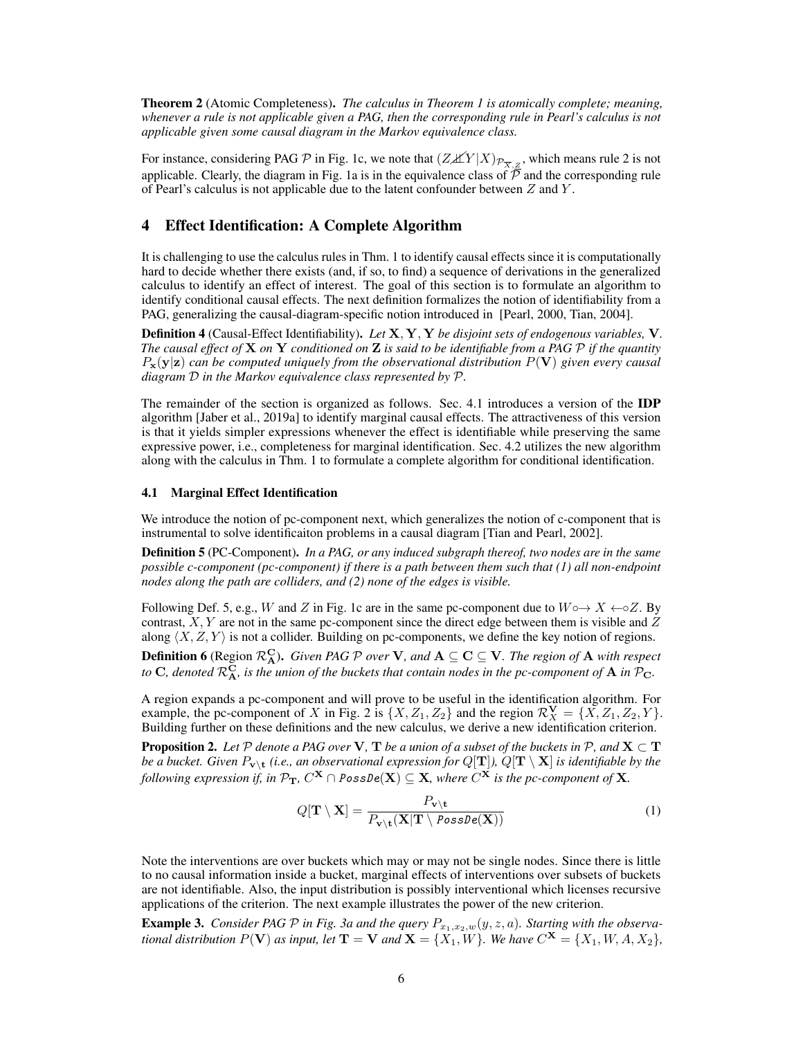<span id="page-5-4"></span>Theorem 2 (Atomic Completeness). *The calculus in Theorem [1](#page-4-3) is atomically complete; meaning, whenever a rule is not applicable given a PAG, then the corresponding rule in Pearl's calculus is not applicable given some causal diagram in the Markov equivalence class.*

For instance, considering PAG  $\mathcal P$  in Fig. [1c,](#page-1-0) we note that  $(Z \cancel{\perp} Y | X)_{\mathcal P_{\overline{X}, \mathcal Z}}$ , which means rule 2 is not applicable. Clearly, the diagram in Fig. [1a](#page-1-0) is in the equivalence class of  $\overline{P}$  and the corresponding rule of Pearl's calculus is not applicable due to the latent confounder between Z and Y .

#### 4 Effect Identification: A Complete Algorithm

It is challenging to use the calculus rules in Thm. [1](#page-4-3) to identify causal effects since it is computationally hard to decide whether there exists (and, if so, to find) a sequence of derivations in the generalized calculus to identify an effect of interest. The goal of this section is to formulate an algorithm to identify conditional causal effects. The next definition formalizes the notion of identifiability from a PAG, generalizing the causal-diagram-specific notion introduced in [\[Pearl, 2000,](#page-9-5) [Tian, 2004\]](#page-9-6).

<span id="page-5-3"></span>Definition 4 (Causal-Effect Identifiability). *Let* X, Y, Y *be disjoint sets of endogenous variables,* V*. The causal effect of* X *on* Y *conditioned on* Z *is said to be identifiable from a PAG* P *if the quantity*  $P_{\mathbf{x}}(\mathbf{y}|\mathbf{z})$  *can be computed uniquely from the observational distribution*  $P(\mathbf{V})$  *given every causal diagram* D *in the Markov equivalence class represented by* P*.*

The remainder of the section is organized as follows. Sec. [4.1](#page-5-0) introduces a version of the IDP algorithm [\[Jaber et al., 2019a\]](#page-9-13) to identify marginal causal effects. The attractiveness of this version is that it yields simpler expressions whenever the effect is identifiable while preserving the same expressive power, i.e., completeness for marginal identification. Sec. [4.2](#page-6-0) utilizes the new algorithm along with the calculus in Thm. [1](#page-4-3) to formulate a complete algorithm for conditional identification.

#### <span id="page-5-0"></span>4.1 Marginal Effect Identification

We introduce the notion of pc-component next, which generalizes the notion of c-component that is instrumental to solve identificaiton problems in a causal diagram [\[Tian and Pearl, 2002\]](#page-9-18).

<span id="page-5-1"></span>Definition 5 (PC-Component). *In a PAG, or any induced subgraph thereof, two nodes are in the same possible c-component (pc-component) if there is a path between them such that (1) all non-endpoint nodes along the path are colliders, and (2) none of the edges is visible.*

Following Def. [5,](#page-5-1) e.g., W and Z in Fig. [1c](#page-1-0) are in the same pc-component due to  $W \circ \rightarrow X \leftarrow \circ Z$ . By contrast,  $X, Y$  are not in the same pc-component since the direct edge between them is visible and  $Z$ along  $\langle X, Z, Y \rangle$  is not a collider. Building on pc-components, we define the key notion of regions.

**Definition 6** (Region  $\mathcal{R}_{\bf A}^{\bf C}$ ). *Given PAG*  $\mathcal P$  *over*  ${\bf V}$ *, and*  ${\bf A}\subseteq{\bf C}\subseteq{\bf V}$ *. The region of*  ${\bf A}$  *with respect to*  $C$ , denoted  $\mathcal{R}^C_A$ , is the union of the buckets that contain nodes in the pc-component of  $A$  in  $\mathcal{P}_C$ .

A region expands a pc-component and will prove to be useful in the identification algorithm. For example, the pc-component of X in Fig. [2](#page-3-3) is  $\{X, Z_1, Z_2\}$  and the region  $\mathcal{R}_X^{\mathbf{V}} = \{X, Z_1, Z_2, Y\}$ . Building further on these definitions and the new calculus, we derive a new identification criterion.

**Proposition 2.** Let  $P$  denote a PAG over **V**, **T** be a union of a subset of the buckets in  $P$ , and  $X \subset T$ be a bucket. Given  $P_{\bf v \setminus t}$  (i.e., an observational expression for  $Q[{\bf T}])$ ,  $Q[{\bf T} \setminus {\bf X}]$  is identifiable by the following expression if, in  $\mathcal{P}_{\bf T}$ ,  $C^{\bf X}\cap\texttt{PossDe}({\bf X})\subseteq{\bf X}$ , where  $C^{\bf X}$  is the pc-component of  ${\bf X}$ .

<span id="page-5-2"></span>
$$
Q[\mathbf{T} \setminus \mathbf{X}] = \frac{P_{\mathbf{v} \setminus \mathbf{t}}}{P_{\mathbf{v} \setminus \mathbf{t}}(\mathbf{X}|\mathbf{T} \setminus \text{PossDe}(\mathbf{X}))}
$$
(1)

Note the interventions are over buckets which may or may not be single nodes. Since there is little to no causal information inside a bucket, marginal effects of interventions over subsets of buckets are not identifiable. Also, the input distribution is possibly interventional which licenses recursive applications of the criterion. The next example illustrates the power of the new criterion.

**Example 3.** *Consider PAG*  $P$  *in Fig. [3a](#page-3-5) and the query*  $P_{x_1,x_2,w}(y,z,a)$ *. Starting with the observational distribution*  $P(\mathbf{V})$  *as input, let*  $\mathbf{T} = \mathbf{V}$  *and*  $\mathbf{X} = \{X_1, W\}$ *. We have*  $C^{\mathbf{X}} = \{X_1, W, A, X_2\}$ *,*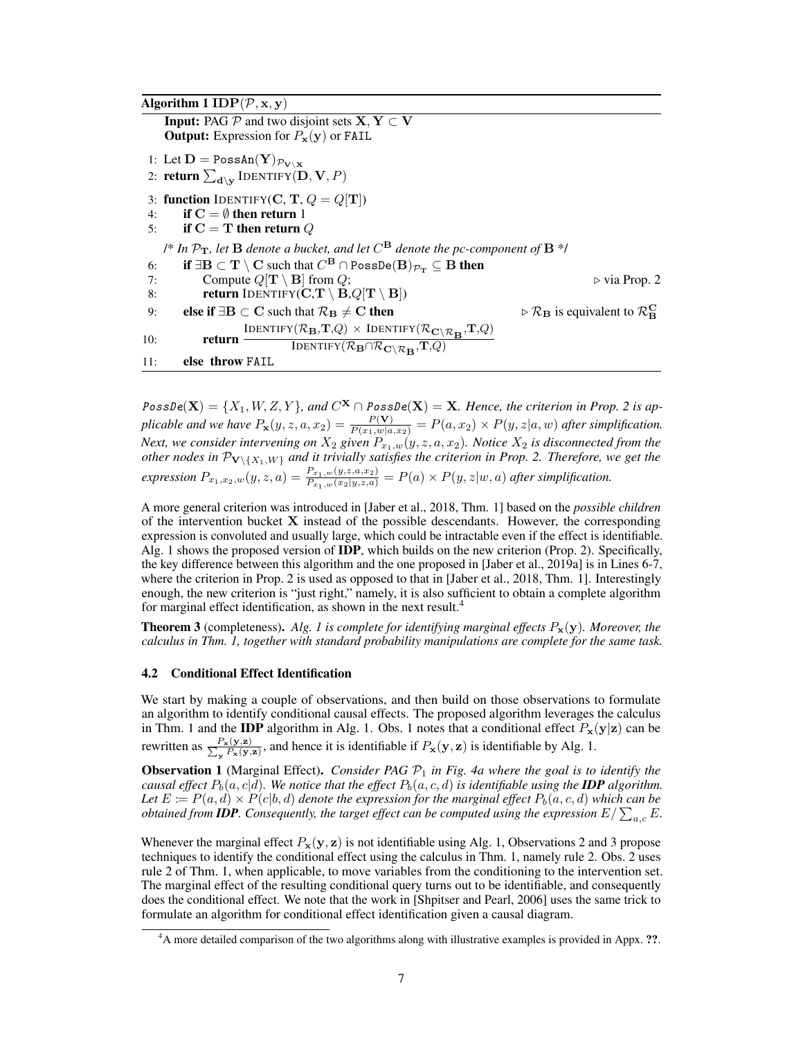```
Algorithm 1 IDP(\mathcal{P}, \mathbf{x}, \mathbf{y})Input: PAG P and two disjoint sets X, Y \subset VOutput: Expression for P_x(y) or FAIL
1: Let \mathbf{D} = \texttt{PossAn}(\mathbf{Y})_{\mathcal{P}_{\mathbf{V} \setminus \mathbf{X}}}2: return \sum_{\mathbf{d}\setminus \mathbf{y}}\text{IDENTIFY}(\mathbf{D},\mathbf{V},P)3: function IDENTIFY(C, T, Q = Q[T])
4: if C = \emptyset then return 1
5: if C = T then return Q
      <sup>\frac{1}{8}</sup> In \mathcal{P}_{\mathbf{T}}, let \mathbf B denote a bucket, and let C^{\mathbf B} denote the pc-component of \mathbf B ^*/
 6: if ∃\mathrm{B}\subset \mathrm{T}\setminus \mathrm{C} such that C^\mathrm{B} \cap \texttt{PossDe}(\mathrm{B})_{\mathcal{P}_{\mathrm{T}}}\subseteq \mathrm{B} then
7: Compute Q[\mathbf{T} \setminus \mathbf{B}] from Q; \triangleright 2
8: return IDENTIFY(\mathbf{C}, \mathbf{T} \setminus \mathbf{B}, Q[\mathbf{T} \setminus \mathbf{B}])9: else if \exists B \subset C such that \mathcal{R}_B \neq C then
                                                                                                                             \triangleright \mathcal{R}_{\mathbf{B}} is equivalent to \mathcal{R}_{\mathbf{B}}^{\mathbf{C}}10: return \frac{\text{IDENTIFY}(\mathcal{R}_B, T, Q) \times \text{IDENTIFY}(\mathcal{R}_C \setminus \mathcal{R}_B, T, Q)}{\text{IDENTIFY}(\mathcal{R}_C \cap \mathcal{R}_T, T, Q)}Identify(\mathcal{R}_{\mathbf{B}} \cap \mathcal{R}_{\mathbf{C} \setminus \mathcal{R}_{\mathbf{B}}}, \mathbf{T}, Q)11: else throw FAIL
```
 $PossDe(X) = {X_1, W, Z, Y}$ , and  $C^X \cap PossDe(X) = X$ . Hence, the criterion in Prop. [2](#page-5-2) is ap*plicable and we have*  $P_x(y, z, a, x_2) = \frac{P(Y)}{P(x_1, w | a, x_2)} = P(a, x_2) \times P(y, z | a, w)$  *after simplification. Next, we consider intervening on*  $X_2$  *given*  $P_{x_1,w}(y,z,a,x_2)$ *. Notice*  $X_2$  *is disconnected from the other nodes in*  $\mathcal{P}_{\mathbf{V}\setminus\{X_1,W\}}$  *and it trivially satisfies the criterion in Prop.* [2.](#page-5-2) *Therefore, we get the expression*  $P_{x_1,x_2,w}(y, z, a) = \frac{P_{x_1,w}(y, z, a, x_2)}{P_{x_1,w}(x_2|y, z, a)} = P(a) \times P(y, z|w, a)$  after simplification.

A more general criterion was introduced in [\[Jaber et al., 2018,](#page-9-19) Thm. 1] based on the *possible children* of the intervention bucket  $X$  instead of the possible descendants. However, the corresponding expression is convoluted and usually large, which could be intractable even if the effect is identifiable. Alg. [1](#page-6-1) shows the proposed version of IDP, which builds on the new criterion (Prop. [2\)](#page-5-2). Specifically, the key difference between this algorithm and the one proposed in [\[Jaber et al., 2019a\]](#page-9-13) is in Lines [6-7,](#page-6-1) where the criterion in Prop. [2](#page-5-2) is used as opposed to that in [\[Jaber et al., 2018,](#page-9-19) Thm. 1]. Interestingly enough, the new criterion is "just right," namely, it is also sufficient to obtain a complete algorithm for marginal effect identification, as shown in the next result.<sup>[4](#page-6-2)</sup>

<span id="page-6-4"></span>**Theorem 3** (completeness). Alg. [1](#page-6-1) is complete for identifying marginal effects  $P_x(y)$ . Moreover, the *calculus in Thm. [1,](#page-4-3) together with standard probability manipulations are complete for the same task.*

#### <span id="page-6-0"></span>4.2 Conditional Effect Identification

We start by making a couple of observations, and then build on those observations to formulate an algorithm to identify conditional causal effects. The proposed algorithm leverages the calculus in Thm. [1](#page-6-3) and the **IDP** algorithm in Alg. [1.](#page-6-1) Obs. 1 notes that a conditional effect  $P_x(y|z)$  can be rewritten as  $\frac{P_{\mathbf{x}}(\mathbf{y}, \mathbf{z})}{\sum_{\mathbf{x}} P_{\mathbf{x}}(\mathbf{y}, \mathbf{z})}$  $\frac{P_{\mathbf{x}}(\mathbf{y},\mathbf{z})}{P_{\mathbf{x}}(\mathbf{y},\mathbf{z})}$ , and hence it is identifiable if  $P_{\mathbf{x}}(\mathbf{y},\mathbf{z})$  is identifiable by Alg. [1.](#page-6-1)

<span id="page-6-3"></span>**Observation 1** (Marginal Effect). *Consider PAG P*<sub>1</sub> in Fig. [4a](#page-7-0) where the goal is to identify the *causal effect*  $P_b(a, c|d)$ *. We notice that the effect*  $P_b(a, c, d)$  *is identifiable using the IDP algorithm.* Let  $E := P(a, d) \times P(c|b, d)$  denote the expression for the marginal effect  $P_b(a, c, d)$  which can be *obtained from IDP. Consequently, the target effect can be computed using the expression*  $E/\sum_{a,c}E$ *.* 

Whenever the marginal effect  $P_x(y, z)$  is not identifiable using Alg. [1,](#page-6-1) Observations [2](#page-7-1) and [3](#page-7-2) propose techniques to identify the conditional effect using the calculus in Thm. [1,](#page-4-3) namely rule 2. Obs. [2](#page-7-1) uses rule 2 of Thm. [1,](#page-4-3) when applicable, to move variables from the conditioning to the intervention set. The marginal effect of the resulting conditional query turns out to be identifiable, and consequently does the conditional effect. We note that the work in [\[Shpitser and Pearl, 2006\]](#page-9-7) uses the same trick to formulate an algorithm for conditional effect identification given a causal diagram.

<span id="page-6-2"></span><sup>&</sup>lt;sup>4</sup>A more detailed comparison of the two algorithms along with illustrative examples is provided in Appx. ??.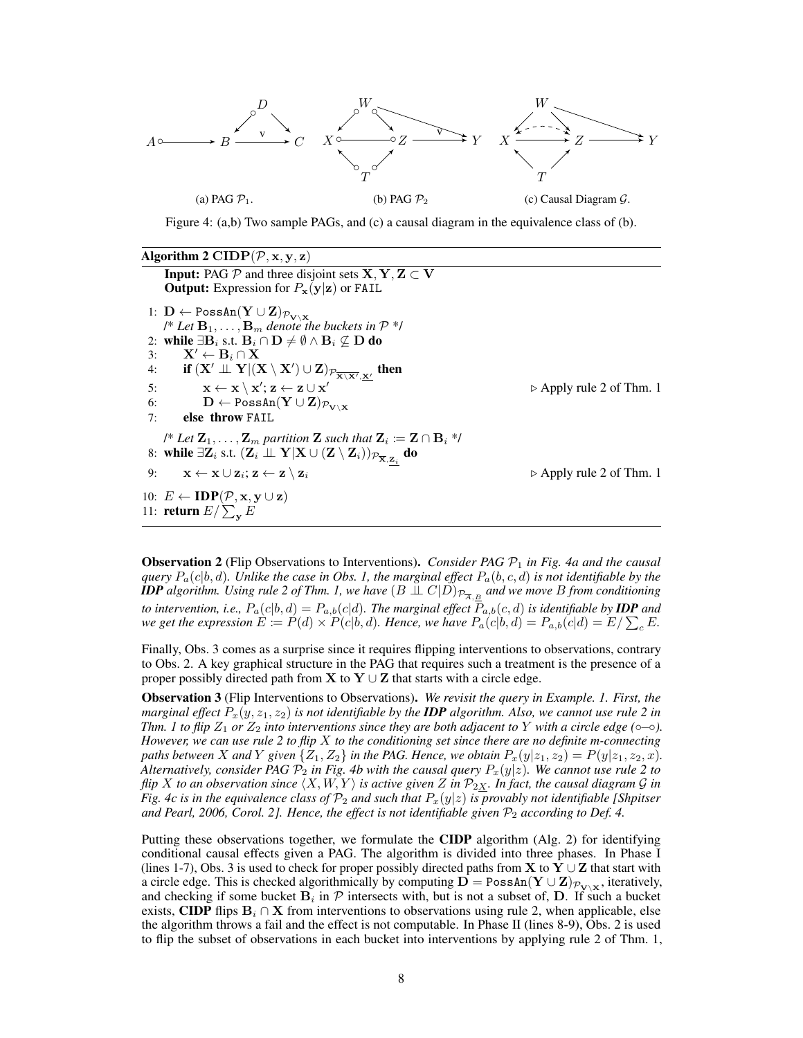<span id="page-7-0"></span>

Figure 4: [\(a,b\)](#page-7-0) Two sample PAGs, and [\(c\)](#page-7-0) a causal diagram in the equivalence class of [\(b\)](#page-7-0).

<span id="page-7-3"></span>

| Algorithm 2 CIDP( $\mathcal{P}, \mathbf{x}, \mathbf{y}, \mathbf{z}$ )                                                                                                                            |                                         |
|--------------------------------------------------------------------------------------------------------------------------------------------------------------------------------------------------|-----------------------------------------|
| <b>Input:</b> PAG $P$ and three disjoint sets $X, Y, Z \subset V$                                                                                                                                |                                         |
| <b>Output:</b> Expression for $P_x(y z)$ or FAIL                                                                                                                                                 |                                         |
| 1: $\mathbf{D} \leftarrow \text{PossAn}(\mathbf{Y} \cup \mathbf{Z})_{\mathcal{P}_{\mathbf{V} \setminus \mathbf{X}}}$                                                                             |                                         |
| /* Let $\mathbf{B}_1, \ldots, \mathbf{B}_m$ denote the buckets in $\mathcal{P}$ */                                                                                                               |                                         |
| 2: while $\exists \mathbf{B}_i$ s.t. $\mathbf{B}_i \cap \mathbf{D} \neq \emptyset \land \mathbf{B}_i \nsubseteq \mathbf{D}$ do                                                                   |                                         |
| $\mathbf{X}' \leftarrow \mathbf{B}_i \cap \mathbf{X}$<br>3:                                                                                                                                      |                                         |
| if $(X' \perp\!\!\!\perp Y   (X \setminus X') \cup Z)_{\mathcal{P}_{\overline{\mathbf{X} \setminus \mathbf{X}'}, \mathbf{X}'}}$ then<br>4:                                                       |                                         |
| $\mathbf{x} \leftarrow \mathbf{x} \setminus \mathbf{x'}; \mathbf{z} \leftarrow \mathbf{z} \cup \mathbf{x'}$<br>5:                                                                                | $\triangleright$ Apply rule 2 of Thm. 1 |
| $\mathbf{D} \leftarrow \texttt{PossAn}(\mathbf{Y} \cup \mathbf{Z})_{\mathcal{P}_{\mathbf{V} \setminus \mathbf{X}}}$<br>6:                                                                        |                                         |
| else throw FAIL<br>7:                                                                                                                                                                            |                                         |
| /* Let $\mathbf{Z}_1, \ldots, \mathbf{Z}_m$ partition $\mathbf{Z}$ such that $\mathbf{Z}_i \coloneqq \mathbf{Z} \cap \mathbf{B}_i$ */                                                            |                                         |
| 8: while $\exists \mathbf{Z}_i$ s.t. $(\mathbf{Z}_i \perp \!\!\! \perp \mathbf{Y}   \mathbf{X} \cup (\mathbf{Z} \setminus \mathbf{Z}_i))_{\mathcal{P}_{\overline{\mathbf{X}}, \mathbf{Z}_i}}$ do |                                         |
| 9: $\mathbf{x} \leftarrow \mathbf{x} \cup \mathbf{z}_i; \mathbf{z} \leftarrow \mathbf{z} \setminus \mathbf{z}_i$                                                                                 | $\triangleright$ Apply rule 2 of Thm. 1 |
| 10: $E \leftarrow \text{IDP}(\mathcal{P}, \mathbf{x}, \mathbf{y} \cup \mathbf{z})$                                                                                                               |                                         |
| 11: <b>return</b> $E/\sum_{\mathbf{v}} E$                                                                                                                                                        |                                         |

<span id="page-7-1"></span>Observation 2 (Flip Observations to Interventions). *Consider PAG* P<sup>1</sup> *in Fig. [4a](#page-7-0) and the causal query* Pa(c|b, d)*. Unlike the case in Obs. [1,](#page-6-3) the marginal effect* Pa(b, c, d) *is not identifiable by the <i>IDP* algorithm. Using rule 2 of Thm. [1,](#page-4-3) we have  $(B \perp\!\!\!\perp C | D)_{\mathcal{P}_{\overline{A}, \underline{B}}}$  and we move B from conditioning *to intervention, i.e.,*  $P_a(c|b, d) = P_{a,b}(c|d)$ . The marginal effect  $P_{a,b}(c, d)$  *is identifiable by IDP and we get the expression*  $E \coloneqq P(d) \times P(c|b, d)$ . Hence, we have  $P_a(c|b, d) = P_{a,b}(c|d) = E/\sum_{c} E$ .

Finally, Obs. [3](#page-7-2) comes as a surprise since it requires flipping interventions to observations, contrary to Obs. [2.](#page-7-1) A key graphical structure in the PAG that requires such a treatment is the presence of a proper possibly directed path from **X** to **Y**  $\cup$  **Z** that starts with a circle edge.

<span id="page-7-2"></span>Observation 3 (Flip Interventions to Observations). *We revisit the query in Example. [1.](#page-3-6) First, the marginal effect*  $P_x(y, z_1, z_2)$  *is not identifiable by the IDP algorithm. Also, we cannot use rule 2 in Thm. 1* to flip  $Z_1$  or  $Z_2$  *into interventions since they are both adjacent to* Y *with a circle edge* ( $\circ$   $\circ$ ). *However, we can use rule 2 to flip* X *to the conditioning set since there are no definite m-connecting paths between* X and Y given  $\{Z_1, Z_2\}$  *in the PAG. Hence, we obtain*  $P_x(y|z_1, z_2) = P(y|z_1, z_2, x)$ *. Alternatively, consider PAG*  $\mathcal{P}_2$  *in Fig. [4b](#page-7-0) with the causal query*  $P_x(y|z)$ *. We cannot use rule 2 to flip* X *to an observation since*  $\langle X, W, Y \rangle$  *is active given* Z *in*  $\mathcal{P}_{2X}$ *. In fact, the causal diagram* G *in Fig.* [4c](#page-7-0) is in the equivalence class of  $\mathcal{P}_2$  and such that  $P_x(y|z)$  is provably not identifiable [\[Shpitser](#page-9-7) [and Pearl, 2006,](#page-9-7) Corol. 2]. Hence, the effect is not identifiable given  $\mathcal{P}_2$  according to Def. [4.](#page-5-3)

Putting these observations together, we formulate the **CIDP** algorithm (Alg. [2\)](#page-7-3) for identifying conditional causal effects given a PAG. The algorithm is divided into three phases. In Phase I (lines [1-7\)](#page-7-3), Obs. [3](#page-7-2) is used to check for proper possibly directed paths from **X** to **Y** ∪ **Z** that start with a circle edge. This is checked algorithmically by computing  $D = \text{PossAn}(Y \cup Z)_{\mathcal{P}_{V \setminus X}}$ , iteratively, and checking if some bucket  $B_i$  in  $P$  intersects with, but is not a subset of, D. If such a bucket exists, CIDP flips  $B_i \cap X$  from interventions to observations using rule 2, when applicable, else the algorithm throws a fail and the effect is not computable. In Phase II (lines [8-9\)](#page-7-3), Obs. [2](#page-7-1) is used to flip the subset of observations in each bucket into interventions by applying rule 2 of Thm. [1,](#page-4-3)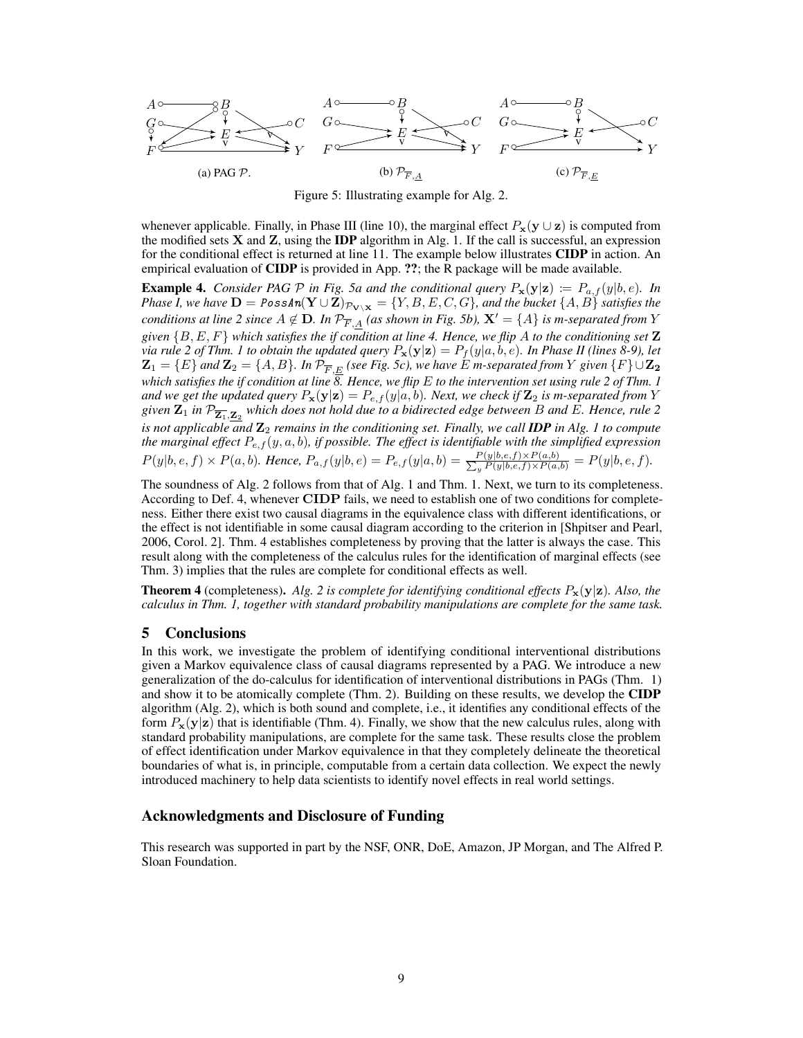<span id="page-8-0"></span>

Figure 5: Illustrating example for Alg. [2.](#page-7-3)

whenever applicable. Finally, in Phase III (line [10\)](#page-7-3), the marginal effect  $P_x(y \cup z)$  is computed from the modified sets  $X$  and  $Z$ , using the **IDP** algorithm in Alg. [1.](#page-6-1) If the call is successful, an expression for the conditional effect is returned at line [11.](#page-7-3) The example below illustrates CIDP in action. An empirical evaluation of **CIDP** is provided in App. ??; the R package will be made available.

**Example 4.** *Consider PAG*  $\mathcal P$  *in Fig.* 5*a and the conditional query*  $P_x(y|z) := P_{a,f}(y|b,e)$ *. In Phase I, we have*  $D = PossAn(Y \cup \mathbb{Z})_{\mathcal{P}_{V \setminus \mathbf{X}}} = \{Y, B, E, C, G\}$ *, and the bucket*  $\{A, B\}$  *satisfies the conditions at line* [2](#page-7-3) *since*  $A \notin \mathbf{D}$ *. In*  $\mathcal{P}_{\overline{F},A}$  *(as shown in Fig. [5b\)](#page-8-0)*,  $\mathbf{X}' = \{A\}$  *is m-separated from*  $Y$ *given* {B, E, F} *which satisfies the if condition at line [4.](#page-7-3) Hence, we flip* A *to the conditioning set* Z *via rule 2 of Thm. 1 to obtain the updated query*  $P_x(y|z) = P_f(y|a, b, e)$ *. In Phase II (lines* [8-9\)](#page-7-3)*, let*  ${\bf Z}_1=\{E\}$  and  ${\bf Z}_2=\{A,B\}.$  In  $\mathcal{P}_{\overline{F},\underline{E}}$  (see Fig. [5c\)](#page-8-0), we have  $\bar{E}$  m-separated from  $Y$  given  $\{F\}\cup{\bf Z_2}$ *which satisfies the if condition at line [8.](#page-7-3) Hence, we flip* E *to the intervention set using rule 2 of Thm. [1](#page-4-3)* and we get the updated query  $P_{\bf x}({\bf y}|{\bf z})=P_{e,f}(y|a,b)$ . Next, we check if  ${\bf Z}_2$  is m-separated from  $Y$ given  ${\bf Z}_1$  in  $\mathcal{P}_{\overline{\bf Z_1},\bf Z_2}$  which does not hold due to a bidirected edge between  $B$  and  $E.$  Hence, rule 2 *is not applicable and*  $\mathbb{Z}_2$  *remains in the conditioning set. Finally, we call IDP in Alg. [1](#page-6-1) to compute* the marginal effect  $P_{e,f}(y, a, b)$ , if possible. The effect is identifiable with the simplified expression  $P(y|b, e, f) \times P(a, b)$ . Hence,  $P_{a,f}(y|b, e) = P_{e,f}(y|a, b) = \frac{P(y|b, e, f) \times P(a, b)}{\sum_{y} P(y|b, e, f) \times P(a, b)} = P(y|b, e, f)$ .

The soundness of Alg. [2](#page-7-3) follows from that of Alg. [1](#page-6-1) and Thm. [1.](#page-4-3) Next, we turn to its completeness. According to Def. [4,](#page-5-3) whenever CIDP fails, we need to establish one of two conditions for completeness. Either there exist two causal diagrams in the equivalence class with different identifications, or the effect is not identifiable in some causal diagram according to the criterion in [\[Shpitser and Pearl,](#page-9-7) [2006,](#page-9-7) Corol. 2]. Thm. [4](#page-8-1) establishes completeness by proving that the latter is always the case. This result along with the completeness of the calculus rules for the identification of marginal effects (see Thm. [3\)](#page-6-4) implies that the rules are complete for conditional effects as well.

<span id="page-8-1"></span>**Theorem 4** (completeness). *Alg.* [2](#page-7-3) *is complete for identifying conditional effects*  $P_x(y|z)$ *. Also, the calculus in Thm. [1,](#page-4-3) together with standard probability manipulations are complete for the same task.*

## 5 Conclusions

In this work, we investigate the problem of identifying conditional interventional distributions given a Markov equivalence class of causal diagrams represented by a PAG. We introduce a new generalization of the do-calculus for identification of interventional distributions in PAGs (Thm. [1\)](#page-4-3) and show it to be atomically complete (Thm. [2\)](#page-5-4). Building on these results, we develop the **CIDP** algorithm (Alg. [2\)](#page-7-3), which is both sound and complete, i.e., it identifies any conditional effects of the form  $P_x(y|z)$  that is identifiable (Thm. [4\)](#page-8-1). Finally, we show that the new calculus rules, along with standard probability manipulations, are complete for the same task. These results close the problem of effect identification under Markov equivalence in that they completely delineate the theoretical boundaries of what is, in principle, computable from a certain data collection. We expect the newly introduced machinery to help data scientists to identify novel effects in real world settings.

## Acknowledgments and Disclosure of Funding

This research was supported in part by the NSF, ONR, DoE, Amazon, JP Morgan, and The Alfred P. Sloan Foundation.